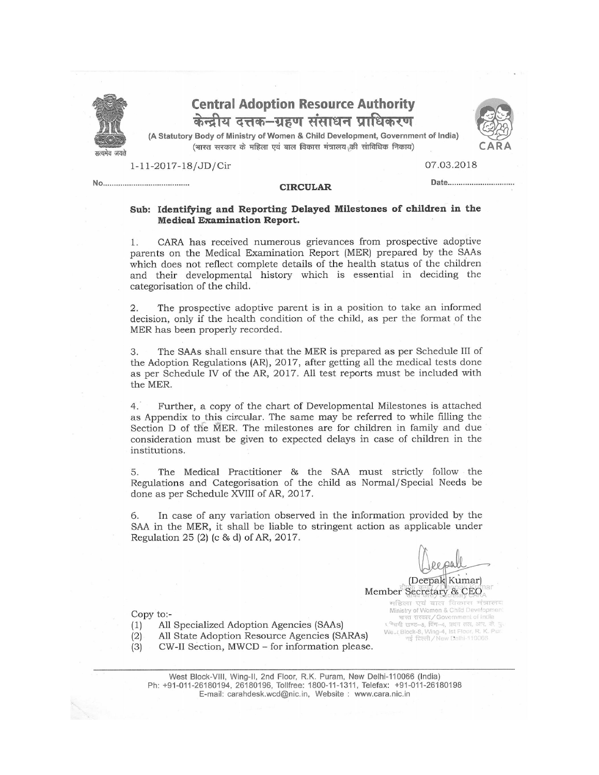

## **Central Adoption Resource Authority** केन्द्रीय दत्तक–ग्रहण संसाधन प्राधिकरण

(A Statutory Body of Ministry of Women & Child Development, Government of India) (भारत सरकार के महिला एवं बाल विकास मंत्रालय की सांविधिक निकाय)



1-11-2017-18/JD/Cir

07.03.2018

Date...............................

## **CIRCULAR**

## Sub: Identifying and Reporting Delayed Milestones of children in the **Medical Examination Report.**

CARA has received numerous grievances from prospective adoptive 1. parents on the Medical Examination Report (MER) prepared by the SAAs which does not reflect complete details of the health status of the children and their developmental history which is essential in deciding the categorisation of the child.

2. The prospective adoptive parent is in a position to take an informed decision, only if the health condition of the child, as per the format of the MER has been properly recorded.

3. The SAAs shall ensure that the MER is prepared as per Schedule III of the Adoption Regulations (AR), 2017, after getting all the medical tests done as per Schedule IV of the AR, 2017. All test reports must be included with the MER.

 $4.$ Further, a copy of the chart of Developmental Milestones is attached as Appendix to this circular. The same may be referred to while filling the Section D of the MER. The milestones are for children in family and due consideration must be given to expected delays in case of children in the institutions.

The Medical Practitioner & the SAA must strictly follow the 5. Regulations and Categorisation of the child as Normal/Special Needs be done as per Schedule XVIII of AR, 2017.

In case of any variation observed in the information provided by the 6. SAA in the MER, it shall be liable to stringent action as applicable under Regulation 25 (2) (c & d) of AR, 2017.

(Deepak Kumar)

Ministry of Women & Child Developm

Member Secretary & CEO महिला एवं बाल विकास मंत्राल

Copy to:-

All Specialized Adoption Agencies (SAAs)  $(1)$ 

All State Adoption Resource Agencies (SARAs)  $(2)$ 

 $(3)$ CW-II Section, MWCD - for information please.

ministry of women a China beverlopment<br>sing and the covernment of India<br>traditions, Reviewed, Reviewed, Block-8, Wing-4, Ist Floor, R. K. Pur.<br>मई विल्ली / New Delhi-110066

West Block-VIII, Wing-II, 2nd Floor, R.K. Puram, New Delhi-110066 (India) Ph: +91-011-26180194, 26180196, Tollfree: 1800-11-1311, Telefax: +91-011-26180198 E-mail: carahdesk.wcd@nic.in, Website: www.cara.nic.in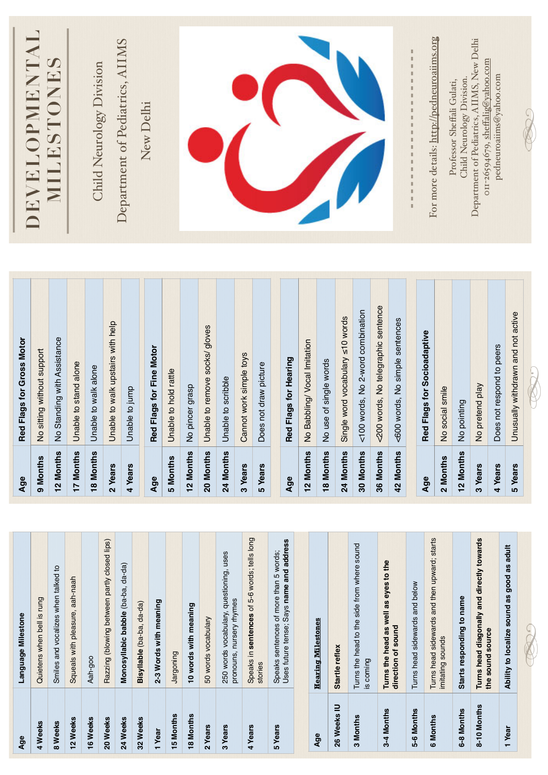| Age         | Language Milestone                                                                 | Age       | Red Flags for Gross Motor           |                                                                                 |
|-------------|------------------------------------------------------------------------------------|-----------|-------------------------------------|---------------------------------------------------------------------------------|
| 4 Weeks     | Quietens when bell is rung                                                         | 9 Months  | No sitting without support          | DEVELOPMENTAL                                                                   |
| 8 Weeks     | Smiles and vocalizes when talked to                                                | 12 Months | No Standing with Assistance         | NILESTONES                                                                      |
| 12 Weeks    | Squeals with pleasure, aah-naah                                                    | 17 Months | Unable to stand alone               |                                                                                 |
| 16 Weeks    | Aah-goo                                                                            | 18 Months | Unable to walk alone                | Child Neurology Division                                                        |
| 20 Weeks    | Razzing (blowing between partly closed lips)                                       | 2 Years   | Unable to walk upstairs with help   |                                                                                 |
| 24 Weeks    | Monosyllabic babble (ba-ba, da-da)                                                 | 4 Years   | Unable to jump                      | Department of Pediatrics, AIIMS                                                 |
| 32 Weeks    | Bisyllable (ba-ba, da-da)                                                          |           |                                     | New Delhi                                                                       |
| 1 Year      | 2-3 Words with meaning                                                             | Age       | Red Flags for Fine Motor            |                                                                                 |
| 15 Months   | Jargoning                                                                          | 5 Months  | Unable to hold rattle               |                                                                                 |
| 18 Months   | 10 words with meaning                                                              | 12 Months | No pincer grasp                     |                                                                                 |
| 2 Years     | 50 words vocabulary                                                                | 20 Months | Unable to remove socks/ gloves      |                                                                                 |
| 3 Years     | 250 words vocabulary, questioning, uses<br>pronouns, nursery rhymes                | 24 Months | Unable to scribble                  |                                                                                 |
| 4 Years     | Speaks in sentences of 5-6 words; tells long                                       | 3 Years   | Cannot work simple toys             |                                                                                 |
|             | stories                                                                            | 5 Years   | Does not draw picture               |                                                                                 |
| 5 Years     | Uses future tense; Says name and address<br>Speaks sentences of more than 5 words; |           |                                     |                                                                                 |
|             |                                                                                    | Age       | Red Flags for Hearing               |                                                                                 |
|             | <b>Hearing Milestones</b>                                                          | 12 Months | No Babbling/ Vocal Imitation        |                                                                                 |
| Age         |                                                                                    | 18 Months | No use of single words              |                                                                                 |
| 26 Weeks IU | Startle reflex                                                                     | 24 Months | Single word vocabulary ≤10 words    |                                                                                 |
| 3 Months    | Turns the head to the side from where sound<br>is coming                           | 30 Months | <100 words, No 2-word combination   |                                                                                 |
| 3-4 Months  | Turns the head as well as eyes to the                                              | 36 Months | <200 words, No telegraphic sentence |                                                                                 |
|             | direction of sound                                                                 | 42 Months | <600 words, No simple sentences     |                                                                                 |
| 5-6 Months  | Turns head sidewards and below                                                     |           |                                     | 医皮肤性 医血管性 医血管性 医血管性血管 医血管性贫血                                                    |
| 6 Months    | Turns head sidewards and then upward; starts                                       | Age       | Red Flags for Socioadaptive         | For more details: http://pedneuroaiims.org                                      |
|             | imitating sounds                                                                   | 2 Months  | No social smile                     |                                                                                 |
| 6-8 Months  | Starts responding to name                                                          | 12 Months | No pointing                         | Child Neurology Division.<br>Professor Sheffali Gulati,                         |
| 8-10 Months | Turns head diagonally and directly towards<br>the sound source                     | 3 Years   | No pretend play                     | Department of Pediatrics, AIIMS, New Delhi<br>011-26594679, sheffalig@yahoo.com |
|             |                                                                                    | 4 Years   | Does not respond to peers           | pedneuroaiims@yahoo.com                                                         |
| 1 Year      | Ability to localize sound as good as adult                                         | 5 Years   | Unusually withdrawn and not active  |                                                                                 |
|             |                                                                                    |           |                                     |                                                                                 |